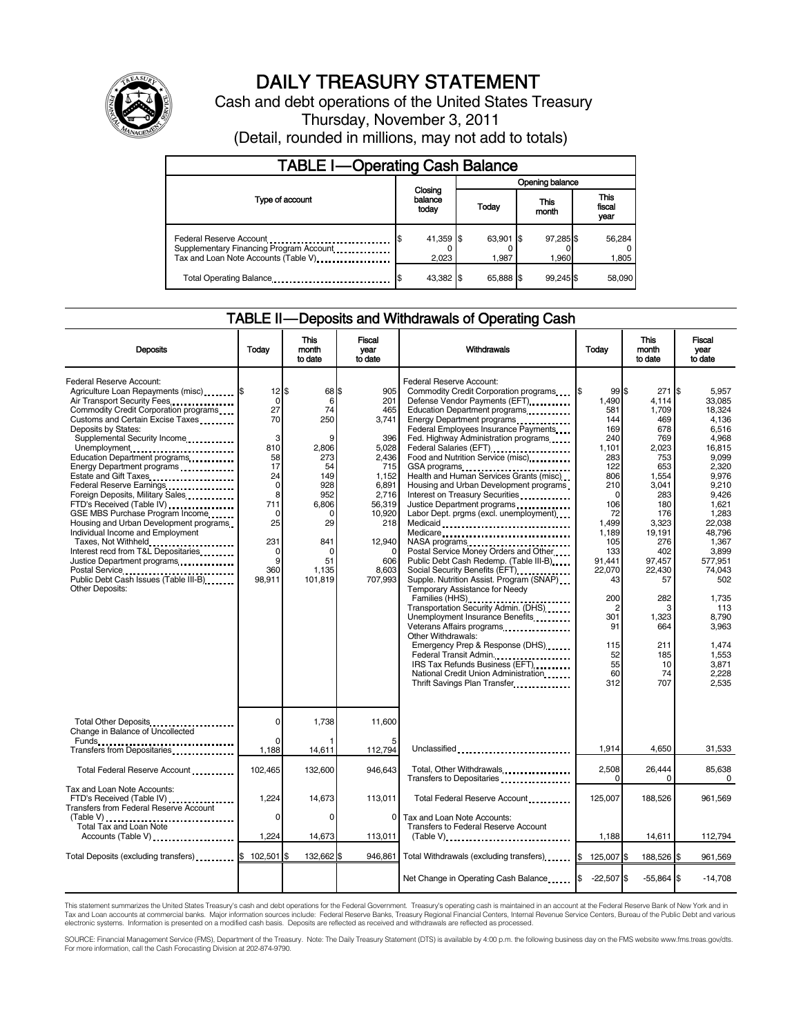

# DAILY TREASURY STATEMENT

Cash and debt operations of the United States Treasury Thursday, November 3, 2011 (Detail, rounded in millions, may not add to totals)

| <b>TABLE I-Operating Cash Balance</b>                                                                      |                             |                    |                    |                               |  |
|------------------------------------------------------------------------------------------------------------|-----------------------------|--------------------|--------------------|-------------------------------|--|
|                                                                                                            |                             | Opening balance    |                    |                               |  |
| Type of account                                                                                            | Closing<br>balance<br>today | Today              | This<br>month      | <b>This</b><br>fiscal<br>year |  |
| Federal Reserve Account<br>Supplementary Financing Program Account<br>Tax and Loan Note Accounts (Table V) | 41,359 \$<br>2,023          | 63,901 \$<br>1.987 | 97,285 \$<br>1.960 | 56,284<br>1,805               |  |
| Total Operating Balance                                                                                    | 43,382 \$                   | 65.888 \$          | 99.245             | 58,090                        |  |

### TABLE II — Deposits and Withdrawals of Operating Cash

| <b>Deposits</b>                                                                                                                                                                                                                                                                                                                                                                                                                                                                                                                                                                                                                                                                                                              | Todav                                                                                                                                             | This<br>month<br>to date                                                                                                                        | Fiscal<br>vear<br>to date                                                                                                                                            | Withdrawals                                                                                                                                                                                                                                                                                                                                                                                                                                                                                                                                                                                                                                                                                                                                                                                                                                                                                                                                                                                                                                                | Today                                                                                                                                                                                                                                  | <b>This</b><br>month<br>to date                                                                                                                                                                                                  | Fiscal<br>year<br>to date                                                                                                                                                                                                                                                             |
|------------------------------------------------------------------------------------------------------------------------------------------------------------------------------------------------------------------------------------------------------------------------------------------------------------------------------------------------------------------------------------------------------------------------------------------------------------------------------------------------------------------------------------------------------------------------------------------------------------------------------------------------------------------------------------------------------------------------------|---------------------------------------------------------------------------------------------------------------------------------------------------|-------------------------------------------------------------------------------------------------------------------------------------------------|----------------------------------------------------------------------------------------------------------------------------------------------------------------------|------------------------------------------------------------------------------------------------------------------------------------------------------------------------------------------------------------------------------------------------------------------------------------------------------------------------------------------------------------------------------------------------------------------------------------------------------------------------------------------------------------------------------------------------------------------------------------------------------------------------------------------------------------------------------------------------------------------------------------------------------------------------------------------------------------------------------------------------------------------------------------------------------------------------------------------------------------------------------------------------------------------------------------------------------------|----------------------------------------------------------------------------------------------------------------------------------------------------------------------------------------------------------------------------------------|----------------------------------------------------------------------------------------------------------------------------------------------------------------------------------------------------------------------------------|---------------------------------------------------------------------------------------------------------------------------------------------------------------------------------------------------------------------------------------------------------------------------------------|
| Federal Reserve Account:<br>Agriculture Loan Repayments (misc) [\$<br>Air Transport Security Fees<br>Commodity Credit Corporation programs<br>Customs and Certain Excise Taxes<br>Deposits by States:<br>Supplemental Security Income<br>Unemployment<br>Education Department programs<br>Energy Department programs<br>Estate and Gift Taxes<br>Federal Reserve Earnings<br>Foreign Deposits, Military Sales<br>FTD's Received (Table IV)<br>GSE MBS Purchase Program Income<br>Housing and Urban Development programs.<br>Individual Income and Employment<br>Taxes, Not Withheld<br>Interest recd from T&L Depositaries<br>Justice Department programs<br>Public Debt Cash Issues (Table III-B)<br><b>Other Deposits:</b> | $12$ S<br>$\mathbf 0$<br>27<br>70<br>3<br>810<br>58<br>17<br>24<br>$\mathbf 0$<br>8<br>711<br>$\mathbf 0$<br>25<br>231<br>0<br>9<br>360<br>98,911 | 68 \$<br>6<br>74<br>250<br>9<br>2,806<br>273<br>54<br>149<br>928<br>952<br>6,806<br>$\Omega$<br>29<br>841<br>$\Omega$<br>51<br>1,135<br>101,819 | 905<br>201<br>465<br>3,741<br>396<br>5,028<br>2,436<br>715<br>1,152<br>6.891<br>2.716<br>56,319<br>10,920<br>218<br>12.940<br>$\mathbf 0$<br>606<br>8,603<br>707,993 | Federal Reserve Account:<br>Commodity Credit Corporation programs<br>Defense Vendor Payments (EFT)<br>Education Department programs<br><br>Energy Department programs<br><br>Federal Employees Insurance Payments<br>Fed. Highway Administration programs<br>Federal Salaries (EFT)<br>Food and Nutrition Service (misc).<br>GSA programs<br>Health and Human Services Grants (misc)<br>Housing and Urban Development programs<br>Interest on Treasury Securities<br>Justice Department programs<br>Labor Dept. prgms (excl. unemployment)<br>Medicaid<br>Medicare<br>Postal Service Money Orders and Other<br>Public Debt Cash Redemp. (Table III-B)<br>Supple. Nutrition Assist. Program (SNAP)<br>Temporary Assistance for Needy<br>Families (HHS)<br>Transportation Security Admin. (DHS)<br>Unemployment Insurance Benefits<br>Veterans Affairs programs<br>Other Withdrawals:<br>Emergency Prep & Response (DHS)<br>Federal Transit Admin.<br>IRS Tax Refunds Business (EFT)<br>National Credit Union Administration<br>Thrift Savings Plan Transfer | 99S<br>1,490<br>581<br>144<br>169<br>240<br>1,101<br>283<br>122<br>806<br>210<br>$\Omega$<br>106<br>72<br>1.499<br>1.189<br>105<br>133<br>91,441<br>22,070<br>43<br>200<br>$\overline{2}$<br>301<br>91<br>115<br>52<br>55<br>60<br>312 | 271<br>4,114<br>1,709<br>469<br>678<br>769<br>2,023<br>753<br>653<br>1,554<br>3,041<br>283<br>180<br>176<br>3,323<br>19,191<br>276<br>402<br>97,457<br>22,430<br>57<br>282<br>3<br>1,323<br>664<br>211<br>185<br>10<br>74<br>707 | I\$<br>5.957<br>33,085<br>18,324<br>4,136<br>6.516<br>4.968<br>16,815<br>9,099<br>2,320<br>9.976<br>9.210<br>9.426<br>1,621<br>1,283<br>22.038<br>48.796<br>1.367<br>3,899<br>577,951<br>74.043<br>502<br>1,735<br>113<br>8,790<br>3,963<br>1.474<br>1,553<br>3,871<br>2.228<br>2,535 |
| Total Other Deposits<br>Change in Balance of Uncollected                                                                                                                                                                                                                                                                                                                                                                                                                                                                                                                                                                                                                                                                     | $\mathbf 0$                                                                                                                                       | 1,738                                                                                                                                           | 11,600                                                                                                                                                               |                                                                                                                                                                                                                                                                                                                                                                                                                                                                                                                                                                                                                                                                                                                                                                                                                                                                                                                                                                                                                                                            |                                                                                                                                                                                                                                        |                                                                                                                                                                                                                                  |                                                                                                                                                                                                                                                                                       |
| Transfers from Depositaries                                                                                                                                                                                                                                                                                                                                                                                                                                                                                                                                                                                                                                                                                                  | 1,188                                                                                                                                             | 14,611                                                                                                                                          | 112,794                                                                                                                                                              | Unclassified                                                                                                                                                                                                                                                                                                                                                                                                                                                                                                                                                                                                                                                                                                                                                                                                                                                                                                                                                                                                                                               | 1,914                                                                                                                                                                                                                                  | 4.650                                                                                                                                                                                                                            | 31,533                                                                                                                                                                                                                                                                                |
| Total Federal Reserve Account                                                                                                                                                                                                                                                                                                                                                                                                                                                                                                                                                                                                                                                                                                | 102,465                                                                                                                                           | 132,600                                                                                                                                         | 946,643                                                                                                                                                              | Total, Other Withdrawals<br>Transfers to Depositaries<br>x                                                                                                                                                                                                                                                                                                                                                                                                                                                                                                                                                                                                                                                                                                                                                                                                                                                                                                                                                                                                 | 2,508                                                                                                                                                                                                                                  | 26,444<br>$\Omega$                                                                                                                                                                                                               | 85,638<br>0                                                                                                                                                                                                                                                                           |
| Tax and Loan Note Accounts:<br>FTD's Received (Table IV)<br><b>Transfers from Federal Reserve Account</b>                                                                                                                                                                                                                                                                                                                                                                                                                                                                                                                                                                                                                    | 1,224                                                                                                                                             | 14,673                                                                                                                                          | 113,011                                                                                                                                                              | Total Federal Reserve Account                                                                                                                                                                                                                                                                                                                                                                                                                                                                                                                                                                                                                                                                                                                                                                                                                                                                                                                                                                                                                              | 125,007                                                                                                                                                                                                                                | 188,526                                                                                                                                                                                                                          | 961,569                                                                                                                                                                                                                                                                               |
| Total Tax and Loan Note<br>Accounts (Table V)                                                                                                                                                                                                                                                                                                                                                                                                                                                                                                                                                                                                                                                                                | $\Omega$<br>1,224                                                                                                                                 | $\Omega$<br>14,673                                                                                                                              | $\Omega$<br>113,011                                                                                                                                                  | Tax and Loan Note Accounts:<br>Transfers to Federal Reserve Account<br>(Table V)                                                                                                                                                                                                                                                                                                                                                                                                                                                                                                                                                                                                                                                                                                                                                                                                                                                                                                                                                                           | 1,188                                                                                                                                                                                                                                  | 14,611                                                                                                                                                                                                                           | 112,794                                                                                                                                                                                                                                                                               |
| Total Deposits (excluding transfers) [6]                                                                                                                                                                                                                                                                                                                                                                                                                                                                                                                                                                                                                                                                                     | 102,501 \$                                                                                                                                        | 132,662 \$                                                                                                                                      | 946.861                                                                                                                                                              | Total Withdrawals (excluding transfers)                                                                                                                                                                                                                                                                                                                                                                                                                                                                                                                                                                                                                                                                                                                                                                                                                                                                                                                                                                                                                    | 125,007 \$<br>I\$                                                                                                                                                                                                                      | 188,526 \$                                                                                                                                                                                                                       | 961,569                                                                                                                                                                                                                                                                               |
|                                                                                                                                                                                                                                                                                                                                                                                                                                                                                                                                                                                                                                                                                                                              |                                                                                                                                                   |                                                                                                                                                 |                                                                                                                                                                      | Net Change in Operating Cash Balance                                                                                                                                                                                                                                                                                                                                                                                                                                                                                                                                                                                                                                                                                                                                                                                                                                                                                                                                                                                                                       | $-22,507$ \$                                                                                                                                                                                                                           | $-55,864$ \$                                                                                                                                                                                                                     | $-14,708$                                                                                                                                                                                                                                                                             |

This statement summarizes the United States Treasury's cash and debt operations for the Federal Government. Treasury's operating cash is maintained in an account at the Federal Reserve Bank of New York and in<br>Tax and Loan

SOURCE: Financial Management Service (FMS), Department of the Treasury. Note: The Daily Treasury Statement (DTS) is available by 4:00 p.m. the following business day on the FMS website www.fms.treas.gov/dts.<br>For more infor